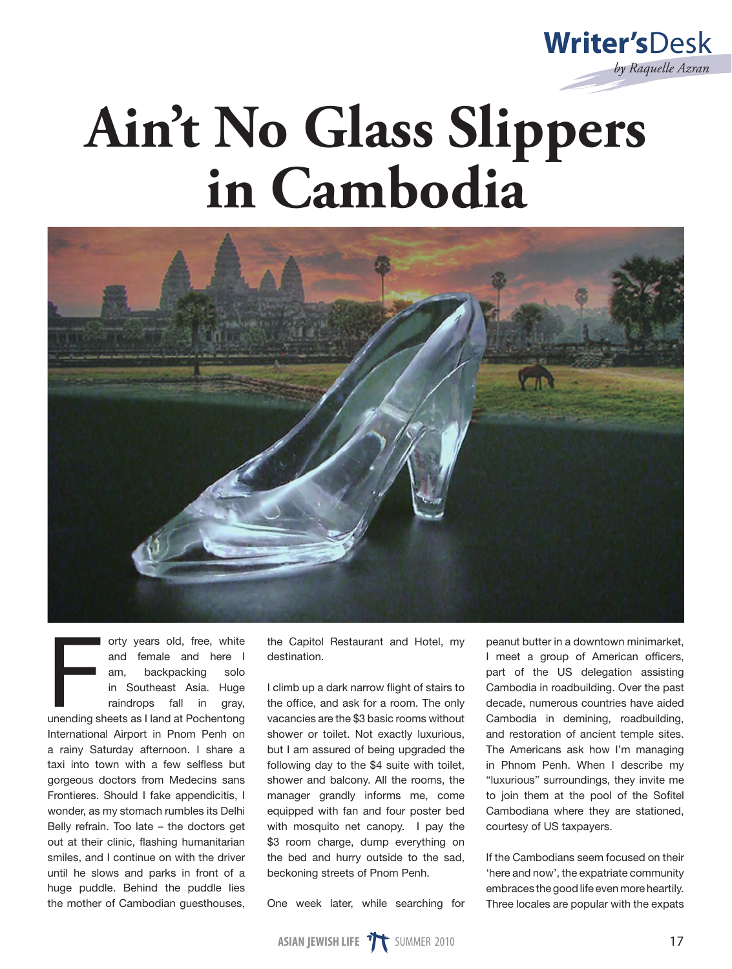

## **Ain't No Glass Slippers in Cambodia**



orty years old, free, white<br>and female and here I<br>am, backpacking solo<br>in Southeast Asia. Huge<br>raindrops fall in gray,<br>unending sheets as I land at Pochentong orty years old, free, white and female and here I am, backpacking solo in Southeast Asia. Huge raindrops fall in gray, International Airport in Pnom Penh on a rainy Saturday afternoon. I share a taxi into town with a few selfless but gorgeous doctors from Medecins sans Frontieres. Should I fake appendicitis, I wonder, as my stomach rumbles its Delhi Belly refrain. Too late – the doctors get out at their clinic, flashing humanitarian smiles, and I continue on with the driver until he slows and parks in front of a huge puddle. Behind the puddle lies the mother of Cambodian guesthouses,

the Capitol Restaurant and Hotel, my destination.

I climb up a dark narrow flight of stairs to the office, and ask for a room. The only vacancies are the \$3 basic rooms without shower or toilet. Not exactly luxurious, but I am assured of being upgraded the following day to the \$4 suite with toilet, shower and balcony. All the rooms, the manager grandly informs me, come equipped with fan and four poster bed with mosquito net canopy. I pay the \$3 room charge, dump everything on the bed and hurry outside to the sad, beckoning streets of Pnom Penh.

One week later, while searching for

peanut butter in a downtown minimarket, I meet a group of American officers, part of the US delegation assisting Cambodia in roadbuilding. Over the past decade, numerous countries have aided Cambodia in demining, roadbuilding, and restoration of ancient temple sites. The Americans ask how I'm managing in Phnom Penh. When I describe my "luxurious" surroundings, they invite me to join them at the pool of the Sofitel Cambodiana where they are stationed, courtesy of US taxpayers.

If the Cambodians seem focused on their 'here and now', the expatriate community embraces the good life even more heartily. Three locales are popular with the expats